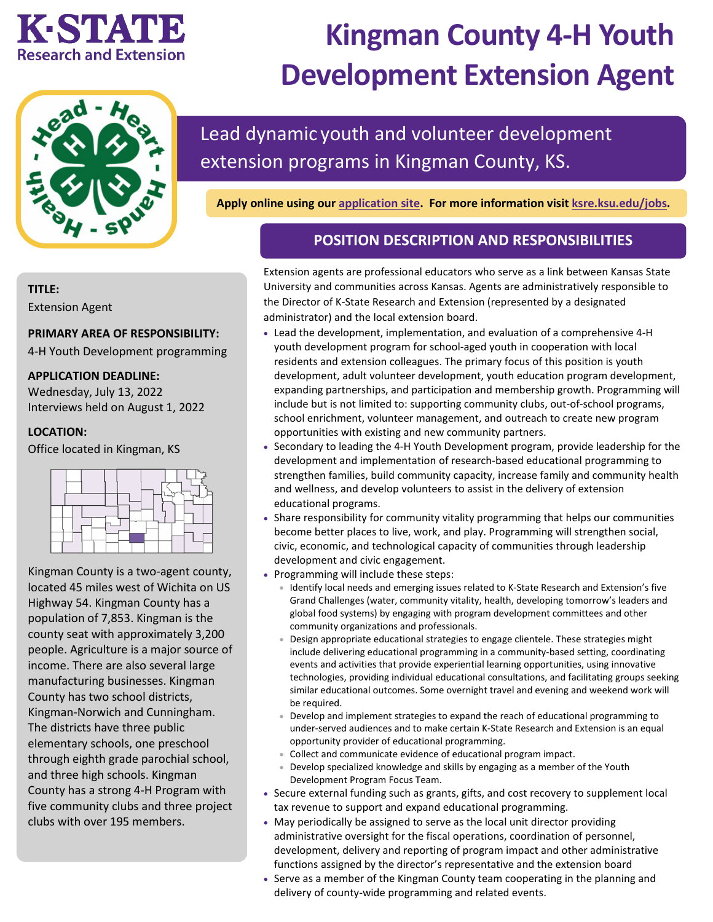## **K-STATE Research and Extension**

# **Kingman County 4-H Youth Development Extension Agent**



## Lead dynamic youth and volunteer development extension programs in Kingman County, KS.

**Apply online using our [application site.](https://careers.pageuppeople.com/742/cw/en-us/job/513247/kingman-county-4h-youth-development-extension-agent) For more information visit [ksre.ksu.edu/jobs.](https://www.ksre.k-state.edu/jobs/current_openings/index.html)** 

### **POSITION DESCRIPTION AND RESPONSIBILITIES**

#### Extension agents are professional educators who serve as a link between Kansas State University and communities across Kansas. Agents are administratively responsible to the Director of K-State Research and Extension (represented by a designated administrator) and the local extension board.

- Lead the development, implementation, and evaluation of a comprehensive 4-H youth development program for school-aged youth in cooperation with local residents and extension colleagues. The primary focus of this position is youth development, adult volunteer development, youth education program development, expanding partnerships, and participation and membership growth. Programming will include but is not limited to: supporting community clubs, out-of-school programs, school enrichment, volunteer management, and outreach to create new program opportunities with existing and new community partners.
- Secondary to leading the 4-H Youth Development program, provide leadership for the development and implementation of research-based educational programming to strengthen families, build community capacity, increase family and community health and wellness, and develop volunteers to assist in the delivery of extension educational programs.
- Share responsibility for community vitality programming that helps our communities become better places to live, work, and play. Programming will strengthen social, civic, economic, and technological capacity of communities through leadership development and civic engagement.
- Programming will include these steps:
	- Identify local needs and emerging issues related to K-State Research and Extension's five Grand Challenges (water, community vitality, health, developing tomorrow's leaders and global food systems) by engaging with program development committees and other community organizations and professionals.
	- Design appropriate educational strategies to engage clientele. These strategies might include delivering educational programming in a community-based setting, coordinating events and activities that provide experiential learning opportunities, using innovative technologies, providing individual educational consultations, and facilitating groups seeking similar educational outcomes. Some overnight travel and evening and weekend work will be required.
	- Develop and implement strategies to expand the reach of educational programming to under-served audiences and to make certain K-State Research and Extension is an equal opportunity provider of educational programming.
	- Collect and communicate evidence of educational program impact.
	- Develop specialized knowledge and skills by engaging as a member of the Youth Development Program Focus Team.
- Secure external funding such as grants, gifts, and cost recovery to supplement local tax revenue to support and expand educational programming.
- May periodically be assigned to serve as the local unit director providing administrative oversight for the fiscal operations, coordination of personnel, development, delivery and reporting of program impact and other administrative functions assigned by the director's representative and the extension board
- Serve as a member of the Kingman County team cooperating in the planning and delivery of county-wide programming and related events.

#### **TITLE:**

Extension Agent

#### **PRIMARY AREA OF RESPONSIBILITY:**

4-H Youth Development programming

#### **APPLICATION DEADLINE:**

Wednesday, July 13, 2022 Interviews held on August 1, 2022

#### **LOCATION:**

Office located in Kingman, KS



Kingman County is a two-agent county, located 45 miles west of Wichita on US Highway 54. Kingman County has a population of 7,853. Kingman is the county seat with approximately 3,200 people. Agriculture is a major source of income. There are also several large manufacturing businesses. Kingman County has two school districts, Kingman-Norwich and Cunningham. The districts have three public elementary schools, one preschool through eighth grade parochial school, and three high schools. Kingman County has a strong 4-H Program with five community clubs and three project clubs with over 195 members.